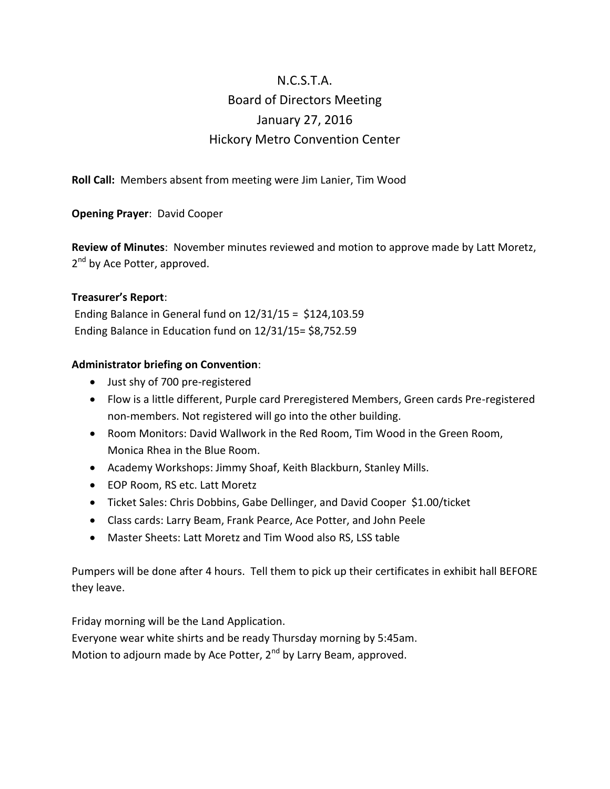## N.C.S.T.A. Board of Directors Meeting January 27, 2016 Hickory Metro Convention Center

**Roll Call:** Members absent from meeting were Jim Lanier, Tim Wood

**Opening Prayer**: David Cooper

**Review of Minutes**: November minutes reviewed and motion to approve made by Latt Moretz, 2<sup>nd</sup> by Ace Potter, approved.

### **Treasurer's Report**:

Ending Balance in General fund on 12/31/15 = \$124,103.59 Ending Balance in Education fund on 12/31/15= \$8,752.59

### **Administrator briefing on Convention**:

- Just shy of 700 pre-registered
- Flow is a little different, Purple card Preregistered Members, Green cards Pre-registered non-members. Not registered will go into the other building.
- Room Monitors: David Wallwork in the Red Room, Tim Wood in the Green Room, Monica Rhea in the Blue Room.
- Academy Workshops: Jimmy Shoaf, Keith Blackburn, Stanley Mills.
- EOP Room, RS etc. Latt Moretz
- Ticket Sales: Chris Dobbins, Gabe Dellinger, and David Cooper \$1.00/ticket
- Class cards: Larry Beam, Frank Pearce, Ace Potter, and John Peele
- Master Sheets: Latt Moretz and Tim Wood also RS, LSS table

Pumpers will be done after 4 hours. Tell them to pick up their certificates in exhibit hall BEFORE they leave.

Friday morning will be the Land Application.

Everyone wear white shirts and be ready Thursday morning by 5:45am.

Motion to adjourn made by Ace Potter,  $2^{nd}$  by Larry Beam, approved.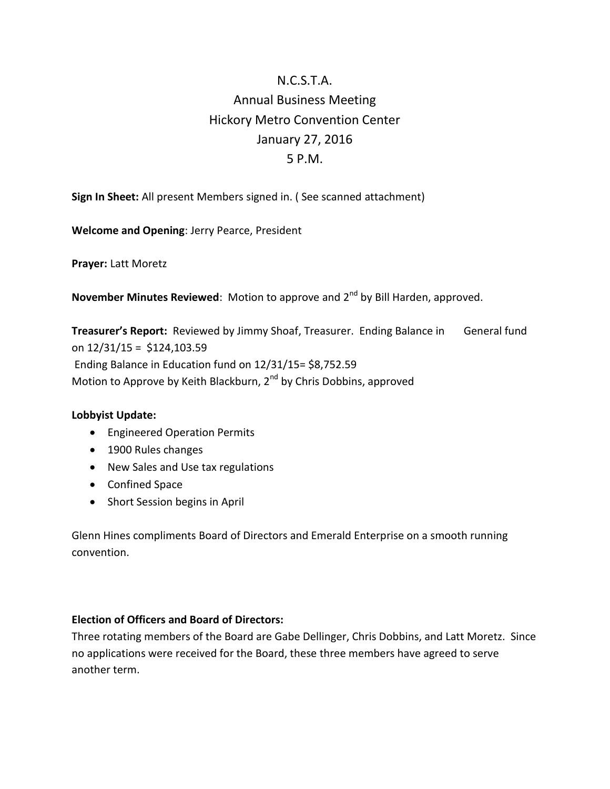# N.C.S.T.A. Annual Business Meeting Hickory Metro Convention Center January 27, 2016 5 P.M.

**Sign In Sheet:** All present Members signed in. ( See scanned attachment)

**Welcome and Opening**: Jerry Pearce, President

**Prayer:** Latt Moretz

**November Minutes Reviewed:** Motion to approve and 2<sup>nd</sup> by Bill Harden, approved.

**Treasurer's Report:** Reviewed by Jimmy Shoaf, Treasurer. Ending Balance in General fund on 12/31/15 = \$124,103.59 Ending Balance in Education fund on 12/31/15= \$8,752.59 Motion to Approve by Keith Blackburn, 2<sup>nd</sup> by Chris Dobbins, approved

#### **Lobbyist Update:**

- **•** Engineered Operation Permits
- 1900 Rules changes
- New Sales and Use tax regulations
- Confined Space
- Short Session begins in April

Glenn Hines compliments Board of Directors and Emerald Enterprise on a smooth running convention.

### **Election of Officers and Board of Directors:**

Three rotating members of the Board are Gabe Dellinger, Chris Dobbins, and Latt Moretz. Since no applications were received for the Board, these three members have agreed to serve another term.